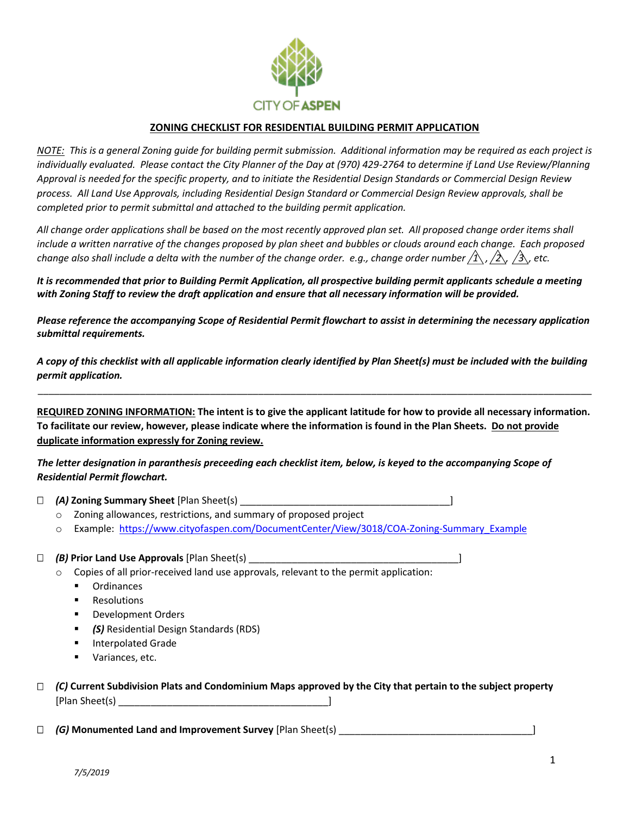

## **ZONING CHECKLIST FOR RESIDENTIAL BUILDING PERMIT APPLICATION**

*NOTE: This is a general Zoning guide for building permit submission. Additional information may be required as each project is individually evaluated. Please contact the City Planner of the Day at (970) 429-2764 to determine if Land Use Review/Planning Approval is needed for the specific property, and to initiate the Residential Design Standards or Commercial Design Review process. All Land Use Approvals, including Residential Design Standard or Commercial Design Review approvals, shall be completed prior to permit submittal and attached to the building permit application.* 

*All change order applications shall be based on the most recently approved plan set. All proposed change order items shall include a written narrative of the changes proposed by plan sheet and bubbles or clouds around each change. Each proposed change also shall include a delta with the number of the change order. e.g., change order number*  $\langle 1 \rangle$ *,*  $\langle 2 \rangle$ *,*  $\langle 3 \rangle$ *, etc.* 

*It is recommended that prior to Building Permit Application, all prospective building permit applicants schedule a meeting with Zoning Staff to review the draft application and ensure that all necessary information will be provided.*

*Please reference the accompanying Scope of Residential Permit flowchart to assist in determining the necessary application submittal requirements.*

*A copy of this checklist with all applicable information clearly identified by Plan Sheet(s) must be included with the building permit application.*

\_\_\_\_\_\_\_\_\_\_\_\_\_\_\_\_\_\_\_\_\_\_\_\_\_\_\_\_\_\_\_\_\_\_\_\_\_\_\_\_\_\_\_\_\_\_\_\_\_\_\_\_\_\_\_\_\_\_\_\_\_\_\_\_\_\_\_\_\_\_\_\_\_\_\_\_\_\_\_\_\_\_\_\_\_\_\_\_\_\_\_\_\_\_\_\_\_\_\_\_\_\_\_

**REQUIRED ZONING INFORMATION: The intent is to give the applicant latitude for how to provide all necessary information. To facilitate our review, however, please indicate where the information is found in the Plan Sheets. Do not provide duplicate information expressly for Zoning review.**

*The letter designation in paranthesis preceeding each checklist item, below, is keyed to the accompanying Scope of Residential Permit flowchart.* 

*(A)* **Zoning Summary Sheet** [Plan Sheet(s) \_\_\_\_\_\_\_\_\_\_\_\_\_\_\_\_\_\_\_\_\_\_\_\_\_\_\_\_\_\_\_\_\_\_\_\_\_\_\_]

- o Zoning allowances, restrictions, and summary of proposed project
- o Example: [https://www.cityofaspen.com/DocumentCenter/View/3018/COA-Zoning-Summary\\_Example](https://www.cityofaspen.com/DocumentCenter/View/3018/COA-Zoning-Summary_Example)

#### □ (B) Prior Land Use Approvals [Plan Sheet(s)

- o Copies of all prior-received land use approvals, relevant to the permit application:
	- Ordinances
	- Resolutions
	- **Development Orders**
	- *(S)* Residential Design Standards (RDS)
	- Interpolated Grade
	- Variances, etc.

## *(C)* **Current Subdivision Plats and Condominium Maps approved by the City that pertain to the subject property**  [Plan Sheet(s) \_\_\_\_\_\_\_\_\_\_\_\_\_\_\_\_\_\_\_\_\_\_\_\_\_\_\_\_\_\_\_\_\_\_\_\_\_\_\_]

*(G)* **Monumented Land and Improvement Survey** [Plan Sheet(s) \_\_\_\_\_\_\_\_\_\_\_\_\_\_\_\_\_\_\_\_\_\_\_\_\_\_\_\_\_\_\_\_\_\_\_\_]

*7/5/2019*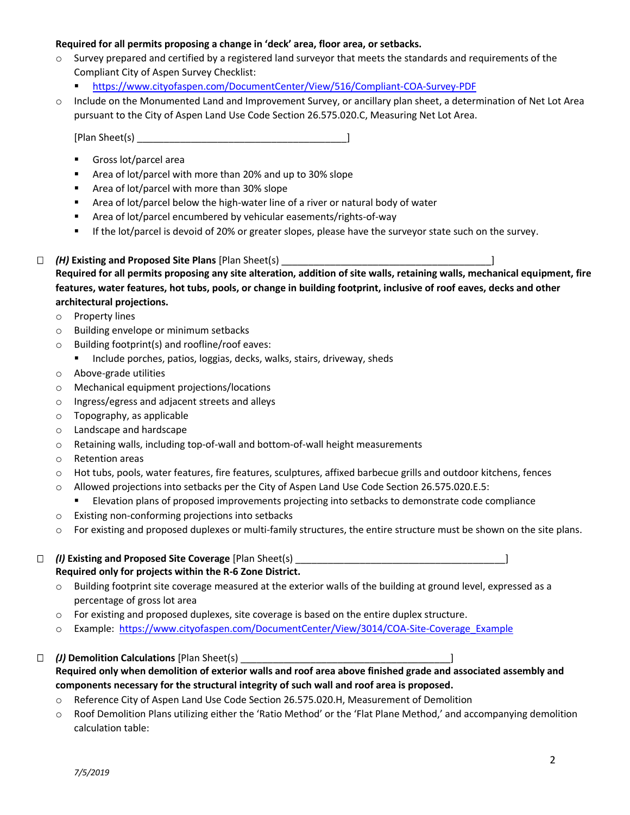### **Required for all permits proposing a change in 'deck' area, floor area, or setbacks.**

- $\circ$  Survey prepared and certified by a registered land surveyor that meets the standards and requirements of the Compliant City of Aspen Survey Checklist:
	- <https://www.cityofaspen.com/DocumentCenter/View/516/Compliant-COA-Survey-PDF>
- o Include on the Monumented Land and Improvement Survey, or ancillary plan sheet, a determination of Net Lot Area pursuant to the City of Aspen Land Use Code Section 26.575.020.C, Measuring Net Lot Area.

[Plan Sheet(s) \_\_\_\_\_\_\_\_\_\_\_\_\_\_\_\_\_\_\_\_\_\_\_\_\_\_\_\_\_\_\_\_\_\_\_\_\_\_\_]

- Gross lot/parcel area
- Area of lot/parcel with more than 20% and up to 30% slope
- Area of lot/parcel with more than 30% slope
- Area of lot/parcel below the high-water line of a river or natural body of water
- Area of lot/parcel encumbered by vehicular easements/rights-of-way
- **■** If the lot/parcel is devoid of 20% or greater slopes, please have the surveyor state such on the survey.

 *(H)* **Existing and Proposed Site Plans** [Plan Sheet(s) \_\_\_\_\_\_\_\_\_\_\_\_\_\_\_\_\_\_\_\_\_\_\_\_\_\_\_\_\_\_\_\_\_\_\_\_\_\_\_] **Required for all permits proposing any site alteration, addition of site walls, retaining walls, mechanical equipment, fire features, water features, hot tubs, pools, or change in building footprint, inclusive of roof eaves, decks and other architectural projections.**

- o Property lines
- o Building envelope or minimum setbacks
- o Building footprint(s) and roofline/roof eaves:
	- Include porches, patios, loggias, decks, walks, stairs, driveway, sheds
- o Above-grade utilities
- o Mechanical equipment projections/locations
- o Ingress/egress and adjacent streets and alleys
- o Topography, as applicable
- o Landscape and hardscape
- o Retaining walls, including top-of-wall and bottom-of-wall height measurements
- o Retention areas
- o Hot tubs, pools, water features, fire features, sculptures, affixed barbecue grills and outdoor kitchens, fences
- o Allowed projections into setbacks per the City of Aspen Land Use Code Section 26.575.020.E.5:
	- Elevation plans of proposed improvements projecting into setbacks to demonstrate code compliance
- o Existing non-conforming projections into setbacks
- o For existing and proposed duplexes or multi-family structures, the entire structure must be shown on the site plans.

 *(I)* **Existing and Proposed Site Coverage** [Plan Sheet(s) \_\_\_\_\_\_\_\_\_\_\_\_\_\_\_\_\_\_\_\_\_\_\_\_\_\_\_\_\_\_\_\_\_\_\_\_\_\_\_] **Required only for projects within the R-6 Zone District.**

o Building footprint site coverage measured at the exterior walls of the building at ground level, expressed as a percentage of gross lot area

- o For existing and proposed duplexes, site coverage is based on the entire duplex structure.
- o Example: [https://www.cityofaspen.com/DocumentCenter/View/3014/COA-Site-Coverage\\_Example](https://www.cityofaspen.com/DocumentCenter/View/3014/COA-Site-Coverage_Example)

*(J)* **Demolition Calculations** [Plan Sheet(s) \_\_\_\_\_\_\_\_\_\_\_\_\_\_\_\_\_\_\_\_\_\_\_\_\_\_\_\_\_\_\_\_\_\_\_\_\_\_\_]

**Required only when demolition of exterior walls and roof area above finished grade and associated assembly and components necessary for the structural integrity of such wall and roof area is proposed.**

- o Reference City of Aspen Land Use Code Section 26.575.020.H, Measurement of Demolition
- o Roof Demolition Plans utilizing either the 'Ratio Method' or the 'Flat Plane Method,' and accompanying demolition calculation table: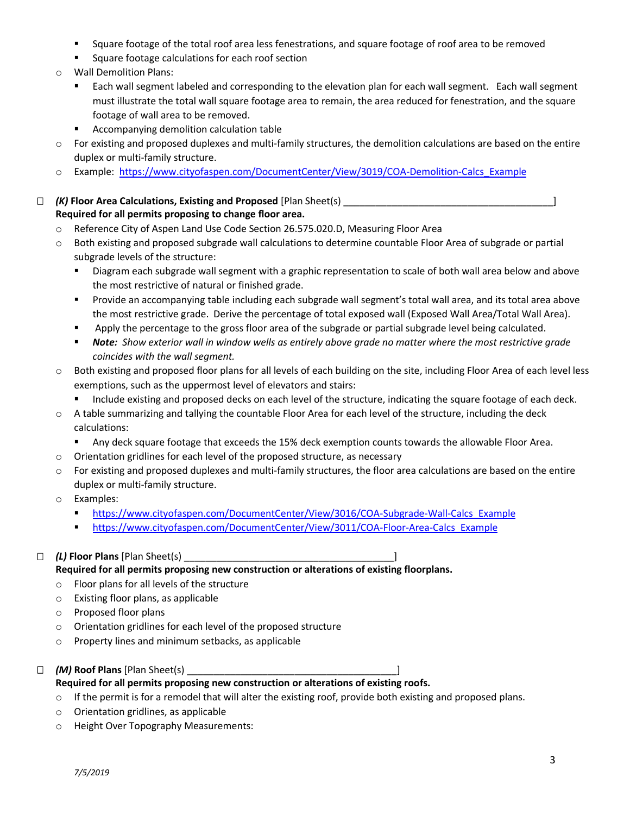- Square footage of the total roof area less fenestrations, and square footage of roof area to be removed
- Square footage calculations for each roof section
- o Wall Demolition Plans:
	- Each wall segment labeled and corresponding to the elevation plan for each wall segment. Each wall segment must illustrate the total wall square footage area to remain, the area reduced for fenestration, and the square footage of wall area to be removed.
	- Accompanying demolition calculation table
- $\circ$  For existing and proposed duplexes and multi-family structures, the demolition calculations are based on the entire duplex or multi-family structure.
- o Example: [https://www.cityofaspen.com/DocumentCenter/View/3019/COA-Demolition-Calcs\\_Example](https://www.cityofaspen.com/DocumentCenter/View/3019/COA-Demolition-Calcs_Example)
- *(K)* **Floor Area Calculations, Existing and Proposed** [Plan Sheet(s) \_\_\_\_\_\_\_\_\_\_\_\_\_\_\_\_\_\_\_\_\_\_\_\_\_\_\_\_\_\_\_\_\_\_\_\_\_\_\_] **Required for all permits proposing to change floor area.**
	- o Reference City of Aspen Land Use Code Section 26.575.020.D, Measuring Floor Area
	- o Both existing and proposed subgrade wall calculations to determine countable Floor Area of subgrade or partial subgrade levels of the structure:
		- Diagram each subgrade wall segment with a graphic representation to scale of both wall area below and above the most restrictive of natural or finished grade.
		- Provide an accompanying table including each subgrade wall segment's total wall area, and its total area above the most restrictive grade. Derive the percentage of total exposed wall (Exposed Wall Area/Total Wall Area).
		- **■** Apply the percentage to the gross floor area of the subgrade or partial subgrade level being calculated.
		- **Note:** Show exterior wall in window wells as entirely above grade no matter where the most restrictive grade *coincides with the wall segment.*
	- o Both existing and proposed floor plans for all levels of each building on the site, including Floor Area of each level less exemptions, such as the uppermost level of elevators and stairs:
		- **■** Include existing and proposed decks on each level of the structure, indicating the square footage of each deck.
	- o A table summarizing and tallying the countable Floor Area for each level of the structure, including the deck calculations:
		- Any deck square footage that exceeds the 15% deck exemption counts towards the allowable Floor Area.
	- o Orientation gridlines for each level of the proposed structure, as necessary
	- o For existing and proposed duplexes and multi-family structures, the floor area calculations are based on the entire duplex or multi-family structure.
	- o Examples:
		- [https://www.cityofaspen.com/DocumentCenter/View/3016/COA-Subgrade-Wall-Calcs\\_Example](https://www.cityofaspen.com/DocumentCenter/View/3016/COA-Subgrade-Wall-Calcs_Example)
		- [https://www.cityofaspen.com/DocumentCenter/View/3011/COA-Floor-Area-Calcs\\_Example](https://www.cityofaspen.com/DocumentCenter/View/3011/COA-Floor-Area-Calcs_Example)

## *(L)* **Floor Plans** [Plan Sheet(s) \_\_\_\_\_\_\_\_\_\_\_\_\_\_\_\_\_\_\_\_\_\_\_\_\_\_\_\_\_\_\_\_\_\_\_\_\_\_\_]

- **Required for all permits proposing new construction or alterations of existing floorplans.**
- o Floor plans for all levels of the structure
- o Existing floor plans, as applicable
- o Proposed floor plans
- o Orientation gridlines for each level of the proposed structure
- o Property lines and minimum setbacks, as applicable
- □ (*M*) **Roof Plans** [Plan Sheet(s)

## **Required for all permits proposing new construction or alterations of existing roofs.**

- $\circ$  If the permit is for a remodel that will alter the existing roof, provide both existing and proposed plans.
- o Orientation gridlines, as applicable
- o Height Over Topography Measurements: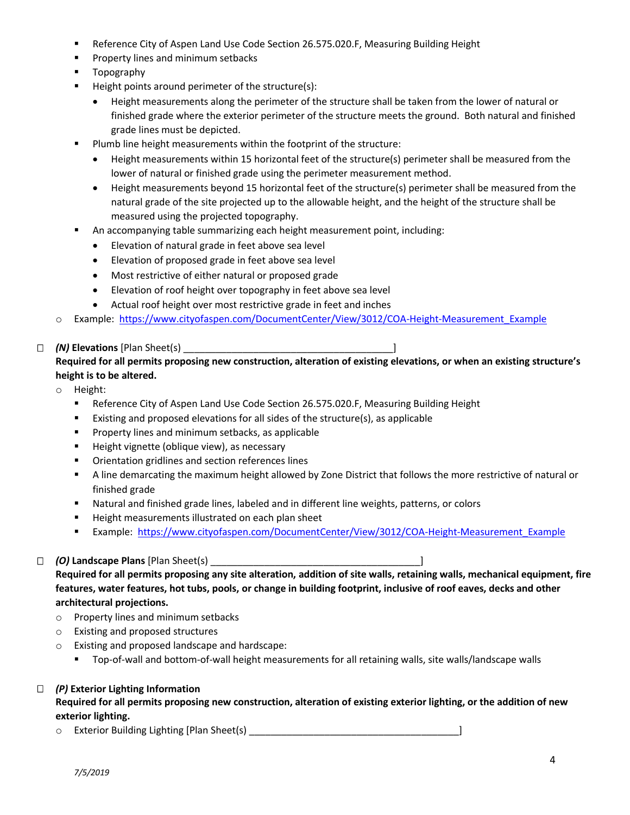- Reference City of Aspen Land Use Code Section 26.575.020.F, Measuring Building Height
- Property lines and minimum setbacks
- Topography
- Height points around perimeter of the structure(s):
	- Height measurements along the perimeter of the structure shall be taken from the lower of natural or finished grade where the exterior perimeter of the structure meets the ground. Both natural and finished grade lines must be depicted.
- Plumb line height measurements within the footprint of the structure:
	- Height measurements within 15 horizontal feet of the structure(s) perimeter shall be measured from the lower of natural or finished grade using the perimeter measurement method.
	- Height measurements beyond 15 horizontal feet of the structure(s) perimeter shall be measured from the natural grade of the site projected up to the allowable height, and the height of the structure shall be measured using the projected topography.
- An accompanying table summarizing each height measurement point, including:
	- Elevation of natural grade in feet above sea level
	- Elevation of proposed grade in feet above sea level
	- Most restrictive of either natural or proposed grade
	- Elevation of roof height over topography in feet above sea level
	- Actual roof height over most restrictive grade in feet and inches
- o Example: [https://www.cityofaspen.com/DocumentCenter/View/3012/COA-Height-Measurement\\_Example](https://www.cityofaspen.com/DocumentCenter/View/3012/COA-Height-Measurement_Example)

# *(N)* **Elevations** [Plan Sheet(s) \_\_\_\_\_\_\_\_\_\_\_\_\_\_\_\_\_\_\_\_\_\_\_\_\_\_\_\_\_\_\_\_\_\_\_\_\_\_\_]

# **Required for all permits proposing new construction, alteration of existing elevations, or when an existing structure's height is to be altered.**

- o Height:
	- **EXECTE ASSET ASSET IS A SET ASSET ASSET ASSET ASSET** Reference City of Aspen Langle Asset Reight
	- Existing and proposed elevations for all sides of the structure(s), as applicable
	- Property lines and minimum setbacks, as applicable
	- Height vignette (oblique view), as necessary
	- Orientation gridlines and section references lines
	- A line demarcating the maximum height allowed by Zone District that follows the more restrictive of natural or finished grade
	- Natural and finished grade lines, labeled and in different line weights, patterns, or colors
	- Height measurements illustrated on each plan sheet
	- Example: [https://www.cityofaspen.com/DocumentCenter/View/3012/COA-Height-Measurement\\_Example](https://www.cityofaspen.com/DocumentCenter/View/3012/COA-Height-Measurement_Example)

# *(O)* **Landscape Plans** [Plan Sheet(s) \_\_\_\_\_\_\_\_\_\_\_\_\_\_\_\_\_\_\_\_\_\_\_\_\_\_\_\_\_\_\_\_\_\_\_\_\_\_\_]

**Required for all permits proposing any site alteration, addition of site walls, retaining walls, mechanical equipment, fire features, water features, hot tubs, pools, or change in building footprint, inclusive of roof eaves, decks and other architectural projections.**

- o Property lines and minimum setbacks
- o Existing and proposed structures
- o Existing and proposed landscape and hardscape:
	- Top-of-wall and bottom-of-wall height measurements for all retaining walls, site walls/landscape walls

# *(P)* **Exterior Lighting Information**

**Required for all permits proposing new construction, alteration of existing exterior lighting, or the addition of new exterior lighting.**

o Exterior Building Lighting [Plan Sheet(s) \_\_\_\_\_\_\_\_\_\_\_\_\_\_\_\_\_\_\_\_\_\_\_\_\_\_\_\_\_\_\_\_\_\_\_\_\_\_\_]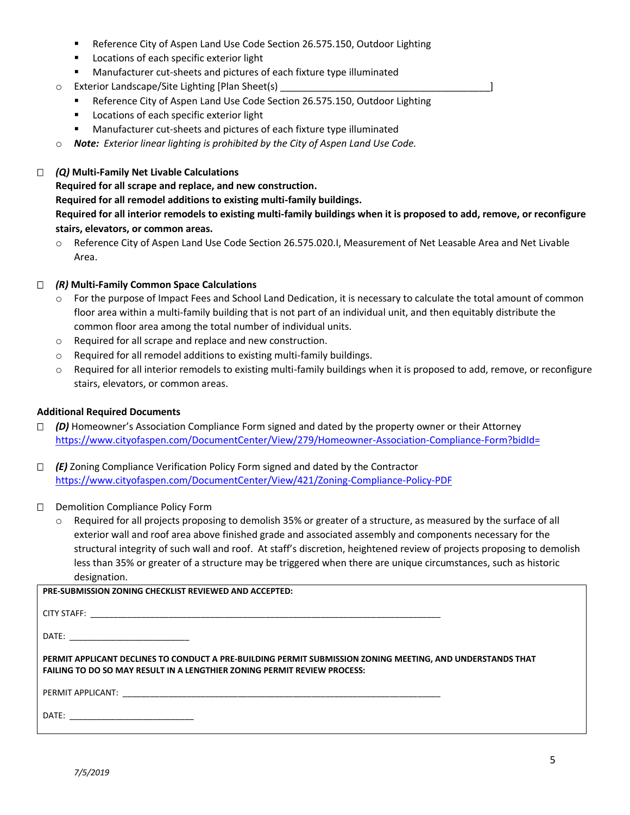- Reference City of Aspen Land Use Code Section 26.575.150, Outdoor Lighting
- Locations of each specific exterior light
- Manufacturer cut-sheets and pictures of each fixture type illuminated
- $\circ$  Exterior Landscape/Site Lighting [Plan Sheet(s)
	- Reference City of Aspen Land Use Code Section 26.575.150, Outdoor Lighting
	- Locations of each specific exterior light
	- Manufacturer cut-sheets and pictures of each fixture type illuminated
- o *Note: Exterior linear lighting is prohibited by the City of Aspen Land Use Code.*

## *(Q)* **Multi-Family Net Livable Calculations**

## **Required for all scrape and replace, and new construction.**

**Required for all remodel additions to existing multi-family buildings.**

**Required for all interior remodels to existing multi-family buildings when it is proposed to add, remove, or reconfigure stairs, elevators, or common areas.**

o Reference City of Aspen Land Use Code Section 26.575.020.I, Measurement of Net Leasable Area and Net Livable Area.

## *(R)* **Multi-Family Common Space Calculations**

- For the purpose of Impact Fees and School Land Dedication, it is necessary to calculate the total amount of common floor area within a multi-family building that is not part of an individual unit, and then equitably distribute the common floor area among the total number of individual units.
- o Required for all scrape and replace and new construction.
- o Required for all remodel additions to existing multi-family buildings.
- $\circ$  Required for all interior remodels to existing multi-family buildings when it is proposed to add, remove, or reconfigure stairs, elevators, or common areas.

## **Additional Required Documents**

- *(D)* Homeowner's Association Compliance Form signed and dated by the property owner or their Attorney <https://www.cityofaspen.com/DocumentCenter/View/279/Homeowner-Association-Compliance-Form?bidId=>
- *(E)* Zoning Compliance Verification Policy Form signed and dated by the Contractor <https://www.cityofaspen.com/DocumentCenter/View/421/Zoning-Compliance-Policy-PDF>
- D Demolition Compliance Policy Form
	- o Required for all projects proposing to demolish 35% or greater of a structure, as measured by the surface of all exterior wall and roof area above finished grade and associated assembly and components necessary for the structural integrity of such wall and roof. At staff's discretion, heightened review of projects proposing to demolish less than 35% or greater of a structure may be triggered when there are unique circumstances, such as historic designation.

| <b>PRE-SUBMISSION ZONING CHECKLIST REVIEWED AND ACCEPTED:</b>                                                                                                                                 |  |
|-----------------------------------------------------------------------------------------------------------------------------------------------------------------------------------------------|--|
|                                                                                                                                                                                               |  |
|                                                                                                                                                                                               |  |
| PERMIT APPLICANT DECLINES TO CONDUCT A PRE-BUILDING PERMIT SUBMISSION ZONING MEETING, AND UNDERSTANDS THAT<br><b>FAILING TO DO SO MAY RESULT IN A LENGTHIER ZONING PERMIT REVIEW PROCESS:</b> |  |
|                                                                                                                                                                                               |  |
|                                                                                                                                                                                               |  |